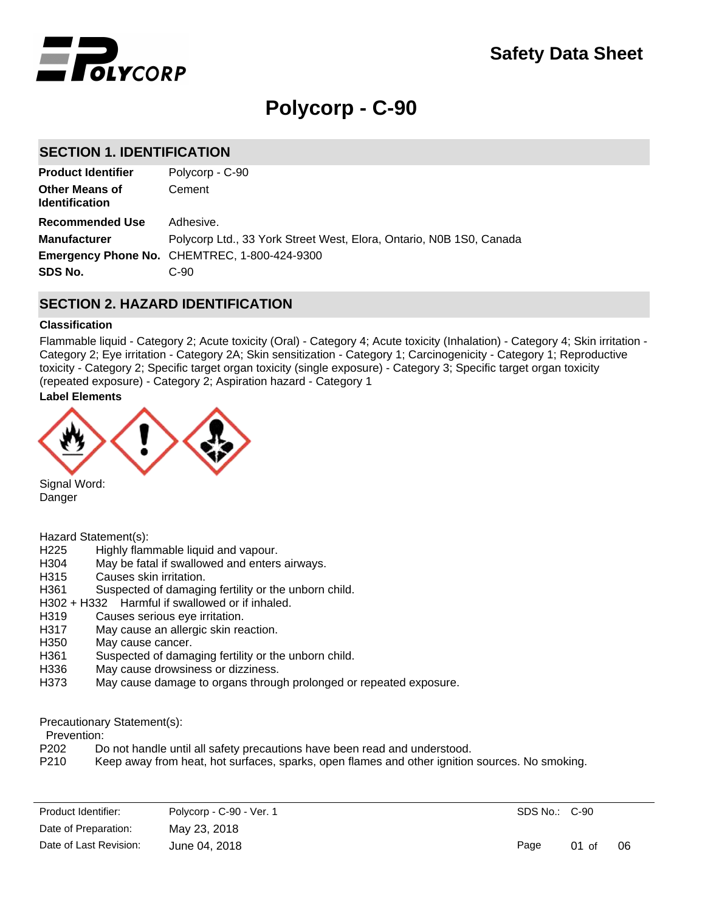

# **Polycorp - C-90**

# **SECTION 1. IDENTIFICATION**

| Polycorp - C-90                                                     |
|---------------------------------------------------------------------|
| Cement                                                              |
| Adhesive.                                                           |
| Polycorp Ltd., 33 York Street West, Elora, Ontario, N0B 1S0, Canada |
| <b>Emergency Phone No. CHEMTREC, 1-800-424-9300</b>                 |
| $C-90$                                                              |
|                                                                     |

# **SECTION 2. HAZARD IDENTIFICATION**

#### **Classification**

Flammable liquid - Category 2; Acute toxicity (Oral) - Category 4; Acute toxicity (Inhalation) - Category 4; Skin irritation - Category 2; Eye irritation - Category 2A; Skin sensitization - Category 1; Carcinogenicity - Category 1; Reproductive toxicity - Category 2; Specific target organ toxicity (single exposure) - Category 3; Specific target organ toxicity (repeated exposure) - Category 2; Aspiration hazard - Category 1

# **Label Elements**



Signal Word: Danger

Hazard Statement(s):

- H225 Highly flammable liquid and vapour.
- H304 May be fatal if swallowed and enters airways.
- H315 Causes skin irritation.
- H361 Suspected of damaging fertility or the unborn child.
- H302 + H332 Harmful if swallowed or if inhaled.
- H319 Causes serious eye irritation.
- H317 May cause an allergic skin reaction.
- H350 May cause cancer.
- H361 Suspected of damaging fertility or the unborn child.
- H336 May cause drowsiness or dizziness.
- H373 May cause damage to organs through prolonged or repeated exposure.

#### Precautionary Statement(s):

Prevention:

- P202 Do not handle until all safety precautions have been read and understood.
- P210 Keep away from heat, hot surfaces, sparks, open flames and other ignition sources. No smoking.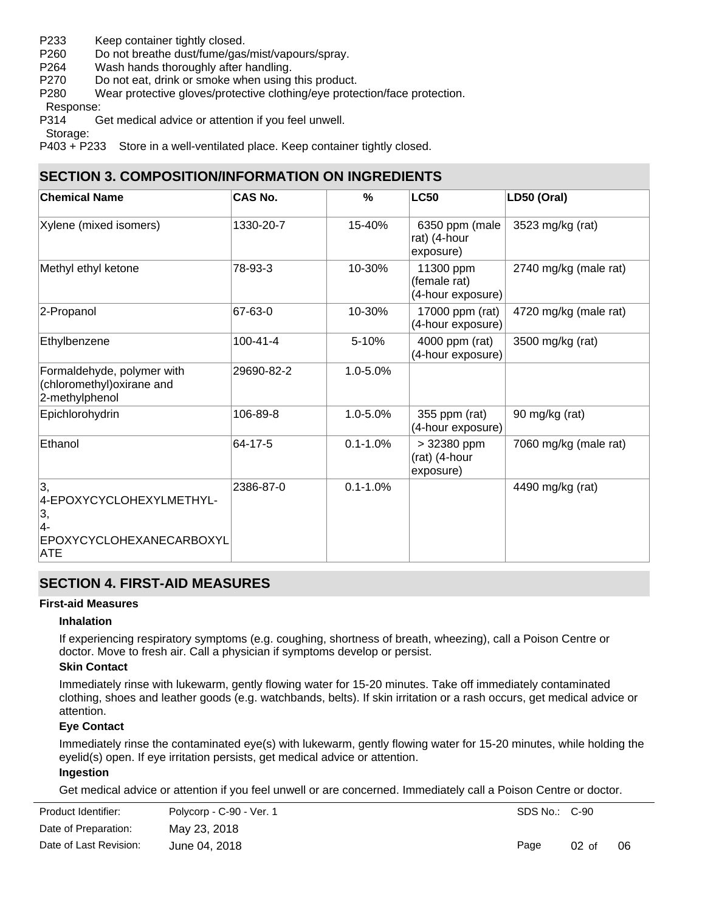- P233 Keep container tightly closed.
- P260 Do not breathe dust/fume/gas/mist/vapours/spray.
- P264 Wash hands thoroughly after handling.
- P270 Do not eat, drink or smoke when using this product.
- P280 Wear protective gloves/protective clothing/eye protection/face protection.

Response:

P314 Get medical advice or attention if you feel unwell.

Storage:

P403 + P233 Store in a well-ventilated place. Keep container tightly closed.

# **SECTION 3. COMPOSITION/INFORMATION ON INGREDIENTS**

| <b>Chemical Name</b>                                                                         | <b>CAS No.</b> | %            | <b>LC50</b>                                    | LD50 (Oral)           |
|----------------------------------------------------------------------------------------------|----------------|--------------|------------------------------------------------|-----------------------|
| Xylene (mixed isomers)                                                                       | 1330-20-7      | 15-40%       | 6350 ppm (male<br>rat) (4-hour<br>exposure)    | 3523 mg/kg (rat)      |
| Methyl ethyl ketone                                                                          | 78-93-3        | 10-30%       | 11300 ppm<br>(female rat)<br>(4-hour exposure) | 2740 mg/kg (male rat) |
| 2-Propanol                                                                                   | 67-63-0        | 10-30%       | 17000 ppm (rat)<br>(4-hour exposure)           | 4720 mg/kg (male rat) |
| Ethylbenzene                                                                                 | $100 - 41 - 4$ | 5-10%        | 4000 ppm (rat)<br>(4-hour exposure)            | 3500 mg/kg (rat)      |
| Formaldehyde, polymer with<br>(chloromethyl) oxirane and<br>2-methylphenol                   | 29690-82-2     | 1.0-5.0%     |                                                |                       |
| Epichlorohydrin                                                                              | 106-89-8       | 1.0-5.0%     | 355 ppm (rat)<br>(4-hour exposure)             | 90 mg/kg (rat)        |
| Ethanol                                                                                      | 64-17-5        | $0.1 - 1.0%$ | > 32380 ppm<br>(rat) (4-hour<br>exposure)      | 7060 mg/kg (male rat) |
| 3,<br>4-EPOXYCYCLOHEXYLMETHYL-<br>3,<br> 4-<br><b>EPOXYCYCLOHEXANECARBOXYL</b><br><b>ATE</b> | 2386-87-0      | $0.1 - 1.0%$ |                                                | 4490 mg/kg (rat)      |

# **SECTION 4. FIRST-AID MEASURES**

### **First-aid Measures**

### **Inhalation**

If experiencing respiratory symptoms (e.g. coughing, shortness of breath, wheezing), call a Poison Centre or doctor. Move to fresh air. Call a physician if symptoms develop or persist.

### **Skin Contact**

Immediately rinse with lukewarm, gently flowing water for 15-20 minutes. Take off immediately contaminated clothing, shoes and leather goods (e.g. watchbands, belts). If skin irritation or a rash occurs, get medical advice or attention.

### **Eye Contact**

Immediately rinse the contaminated eye(s) with lukewarm, gently flowing water for 15-20 minutes, while holding the eyelid(s) open. If eye irritation persists, get medical advice or attention.

### **Ingestion**

Get medical advice or attention if you feel unwell or are concerned. Immediately call a Poison Centre or doctor.

| Product Identifier:    | Polycorp - C-90 - Ver. 1 | SDS No.: C-90 |         |    |
|------------------------|--------------------------|---------------|---------|----|
| Date of Preparation:   | May 23, 2018             |               |         |    |
| Date of Last Revision: | June 04, 2018            | Page          | $02$ of | 06 |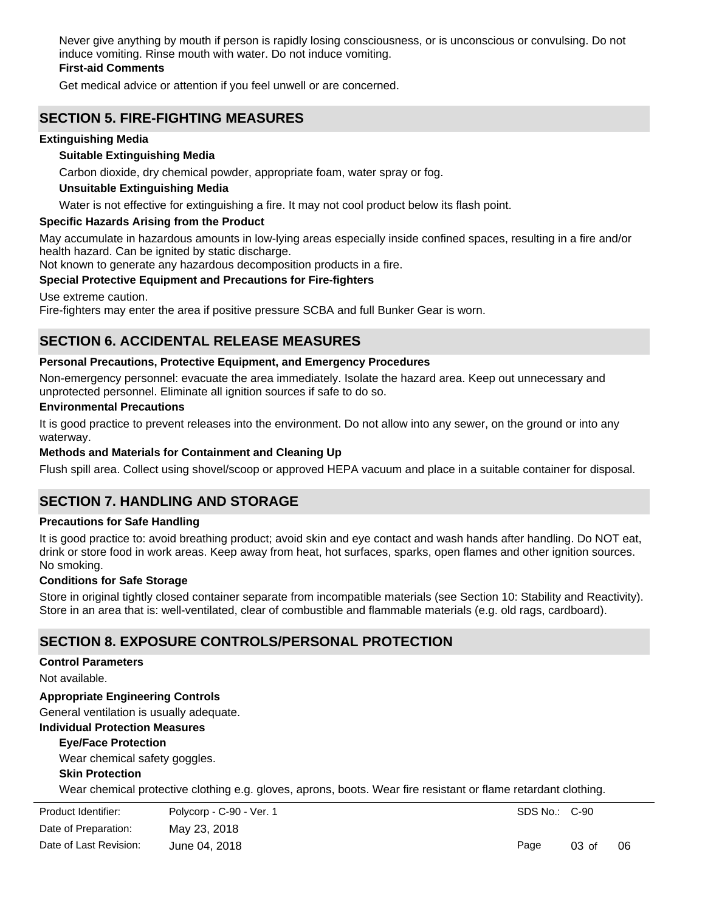Never give anything by mouth if person is rapidly losing consciousness, or is unconscious or convulsing. Do not induce vomiting. Rinse mouth with water. Do not induce vomiting.

# **First-aid Comments**

Get medical advice or attention if you feel unwell or are concerned.

# **SECTION 5. FIRE-FIGHTING MEASURES**

### **Extinguishing Media**

### **Suitable Extinguishing Media**

Carbon dioxide, dry chemical powder, appropriate foam, water spray or fog.

### **Unsuitable Extinguishing Media**

Water is not effective for extinguishing a fire. It may not cool product below its flash point.

### **Specific Hazards Arising from the Product**

May accumulate in hazardous amounts in low-lying areas especially inside confined spaces, resulting in a fire and/or health hazard. Can be ignited by static discharge.

Not known to generate any hazardous decomposition products in a fire.

## **Special Protective Equipment and Precautions for Fire-fighters**

Use extreme caution.

Fire-fighters may enter the area if positive pressure SCBA and full Bunker Gear is worn.

# **SECTION 6. ACCIDENTAL RELEASE MEASURES**

### **Personal Precautions, Protective Equipment, and Emergency Procedures**

Non-emergency personnel: evacuate the area immediately. Isolate the hazard area. Keep out unnecessary and unprotected personnel. Eliminate all ignition sources if safe to do so.

#### **Environmental Precautions**

It is good practice to prevent releases into the environment. Do not allow into any sewer, on the ground or into any waterway.

### **Methods and Materials for Containment and Cleaning Up**

Flush spill area. Collect using shovel/scoop or approved HEPA vacuum and place in a suitable container for disposal.

# **SECTION 7. HANDLING AND STORAGE**

#### **Precautions for Safe Handling**

It is good practice to: avoid breathing product; avoid skin and eye contact and wash hands after handling. Do NOT eat, drink or store food in work areas. Keep away from heat, hot surfaces, sparks, open flames and other ignition sources. No smoking.

#### **Conditions for Safe Storage**

Store in original tightly closed container separate from incompatible materials (see Section 10: Stability and Reactivity). Store in an area that is: well-ventilated, clear of combustible and flammable materials (e.g. old rags, cardboard).

# **SECTION 8. EXPOSURE CONTROLS/PERSONAL PROTECTION**

### **Control Parameters**

Not available.

# **Appropriate Engineering Controls**

General ventilation is usually adequate.

### **Individual Protection Measures**

### **Eye/Face Protection**

Wear chemical safety goggles.

### **Skin Protection**

Wear chemical protective clothing e.g. gloves, aprons, boots. Wear fire resistant or flame retardant clothing.

| Product Identifier:    | Polycorp - C-90 - Ver. 1 |
|------------------------|--------------------------|
| Date of Preparation:   | May 23, 2018             |
| Date of Last Revision: | June 04, 2018            |

SDS No.: C-90

Page 03 of 06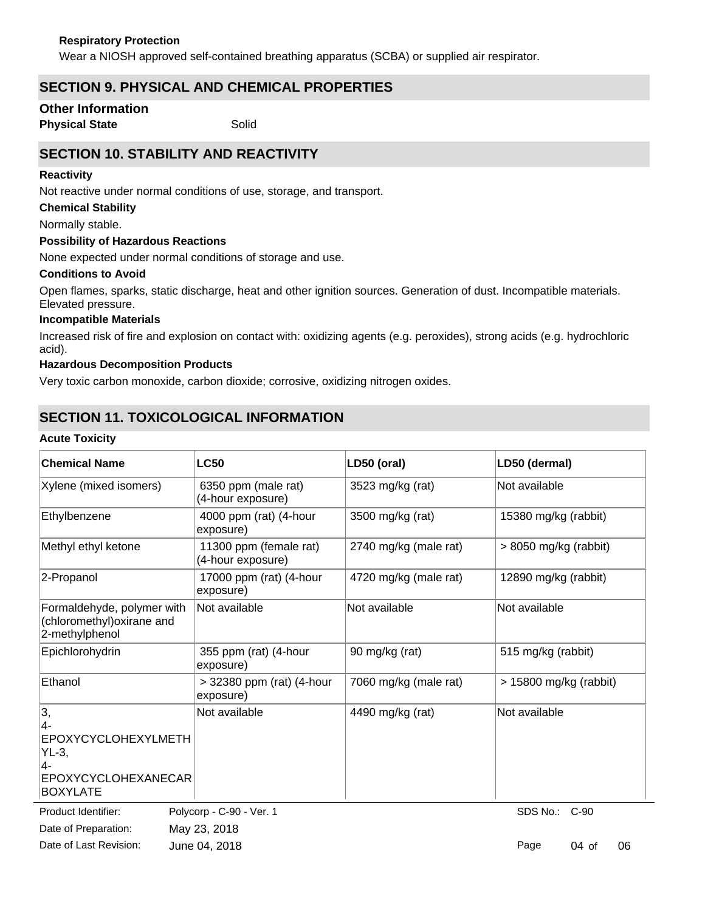Wear a NIOSH approved self-contained breathing apparatus (SCBA) or supplied air respirator.

# **SECTION 9. PHYSICAL AND CHEMICAL PROPERTIES**

# **Other Information**

**Physical State** Solid

# **SECTION 10. STABILITY AND REACTIVITY**

### **Reactivity**

Not reactive under normal conditions of use, storage, and transport.

# **Chemical Stability**

Normally stable.

### **Possibility of Hazardous Reactions**

None expected under normal conditions of storage and use.

### **Conditions to Avoid**

Open flames, sparks, static discharge, heat and other ignition sources. Generation of dust. Incompatible materials. Elevated pressure.

### **Incompatible Materials**

Increased risk of fire and explosion on contact with: oxidizing agents (e.g. peroxides), strong acids (e.g. hydrochloric acid).

### **Hazardous Decomposition Products**

Very toxic carbon monoxide, carbon dioxide; corrosive, oxidizing nitrogen oxides.

# **SECTION 11. TOXICOLOGICAL INFORMATION**

#### **Acute Toxicity**

| <b>Chemical Name</b>                                                                       | <b>LC50</b>                                 | LD50 (oral)           | LD50 (dermal)           |
|--------------------------------------------------------------------------------------------|---------------------------------------------|-----------------------|-------------------------|
| Xylene (mixed isomers)                                                                     | 6350 ppm (male rat)<br>(4-hour exposure)    | 3523 mg/kg (rat)      | Not available           |
| Ethylbenzene                                                                               | 4000 ppm (rat) (4-hour<br>exposure)         | 3500 mg/kg (rat)      | 15380 mg/kg (rabbit)    |
| Methyl ethyl ketone                                                                        | 11300 ppm (female rat)<br>(4-hour exposure) | 2740 mg/kg (male rat) | $> 8050$ mg/kg (rabbit) |
| 2-Propanol                                                                                 | 17000 ppm (rat) (4-hour<br>exposure)        | 4720 mg/kg (male rat) | 12890 mg/kg (rabbit)    |
| Formaldehyde, polymer with<br>(chloromethyl) oxirane and<br>2-methylphenol                 | Not available                               | Not available         | Not available           |
| Epichlorohydrin                                                                            | 355 ppm (rat) (4-hour<br>exposure)          | 90 mg/kg (rat)        | 515 mg/kg (rabbit)      |
| Ethanol                                                                                    | > 32380 ppm (rat) (4-hour<br>exposure)      | 7060 mg/kg (male rat) | > 15800 mg/kg (rabbit)  |
| 3,<br>4-<br>EPOXYCYCLOHEXYLMETH<br>$YL-3,$<br>4-<br>EPOXYCYCLOHEXANECAR<br><b>BOXYLATE</b> | Not available                               | 4490 mg/kg (rat)      | Not available           |

Date of Preparation: May 23, 2018 Product Identifier: Polycorp - C-90 - Ver. 1 Date of Last Revision: June 04, 2018

SDS No.: C-90

Page 04 of 06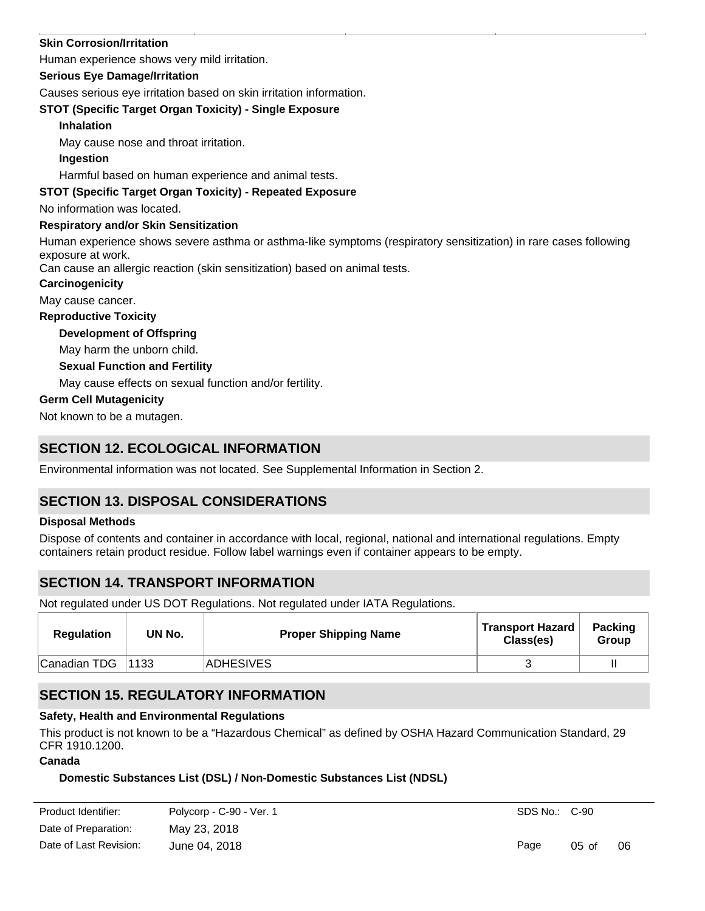### **Skin Corrosion/Irritation**

Human experience shows very mild irritation.

#### **Serious Eye Damage/Irritation**

Causes serious eye irritation based on skin irritation information.

### **STOT (Specific Target Organ Toxicity) - Single Exposure**

#### **Inhalation**

May cause nose and throat irritation.

### **Ingestion**

Harmful based on human experience and animal tests.

### **STOT (Specific Target Organ Toxicity) - Repeated Exposure**

No information was located.

### **Respiratory and/or Skin Sensitization**

Human experience shows severe asthma or asthma-like symptoms (respiratory sensitization) in rare cases following exposure at work.

Can cause an allergic reaction (skin sensitization) based on animal tests.

### **Carcinogenicity**

May cause cancer.

### **Reproductive Toxicity**

### **Development of Offspring**

May harm the unborn child.

#### **Sexual Function and Fertility**

May cause effects on sexual function and/or fertility.

### **Germ Cell Mutagenicity**

Not known to be a mutagen.

# **SECTION 12. ECOLOGICAL INFORMATION**

Environmental information was not located. See Supplemental Information in Section 2.

# **SECTION 13. DISPOSAL CONSIDERATIONS**

#### **Disposal Methods**

Dispose of contents and container in accordance with local, regional, national and international regulations. Empty containers retain product residue. Follow label warnings even if container appears to be empty.

# **SECTION 14. TRANSPORT INFORMATION**

Not regulated under US DOT Regulations. Not regulated under IATA Regulations.

| Regulation   | UN No. | <b>Proper Shipping Name</b> | <b>Transport Hazard</b><br>Class(es) | <b>Packing</b><br>Group |
|--------------|--------|-----------------------------|--------------------------------------|-------------------------|
| Canadian TDG | 1133   | <b>ADHESIVES</b>            |                                      |                         |

# **SECTION 15. REGULATORY INFORMATION**

### **Safety, Health and Environmental Regulations**

This product is not known to be a "Hazardous Chemical" as defined by OSHA Hazard Communication Standard, 29 CFR 1910.1200.

#### **Canada**

### **Domestic Substances List (DSL) / Non-Domestic Substances List (NDSL)**

| Product Identifier:    | Polycorp - C-90 - Ver. 1 | SDS No.: C-90 |                  |    |
|------------------------|--------------------------|---------------|------------------|----|
| Date of Preparation:   | May 23, 2018             |               |                  |    |
| Date of Last Revision: | June 04, 2018            | Page          | $0.5 \text{ of}$ | 06 |